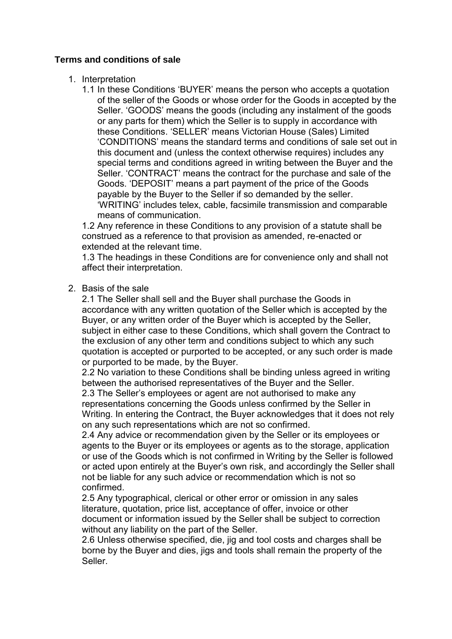# **Terms and conditions of sale**

- 1. Interpretation
	- 1.1 In these Conditions 'BUYER' means the person who accepts a quotation of the seller of the Goods or whose order for the Goods in accepted by the Seller. 'GOODS' means the goods (including any instalment of the goods or any parts for them) which the Seller is to supply in accordance with these Conditions. 'SELLER' means Victorian House (Sales) Limited 'CONDITIONS' means the standard terms and conditions of sale set out in this document and (unless the context otherwise requires) includes any special terms and conditions agreed in writing between the Buyer and the Seller. 'CONTRACT' means the contract for the purchase and sale of the Goods. 'DEPOSIT' means a part payment of the price of the Goods payable by the Buyer to the Seller if so demanded by the seller. 'WRITING' includes telex, cable, facsimile transmission and comparable means of communication.

1.2 Any reference in these Conditions to any provision of a statute shall be construed as a reference to that provision as amended, re-enacted or extended at the relevant time.

1.3 The headings in these Conditions are for convenience only and shall not affect their interpretation.

2. Basis of the sale

2.1 The Seller shall sell and the Buyer shall purchase the Goods in accordance with any written quotation of the Seller which is accepted by the Buyer, or any written order of the Buyer which is accepted by the Seller, subject in either case to these Conditions, which shall govern the Contract to the exclusion of any other term and conditions subject to which any such quotation is accepted or purported to be accepted, or any such order is made or purported to be made, by the Buyer.

2.2 No variation to these Conditions shall be binding unless agreed in writing between the authorised representatives of the Buyer and the Seller.

2.3 The Seller's employees or agent are not authorised to make any representations concerning the Goods unless confirmed by the Seller in Writing. In entering the Contract, the Buyer acknowledges that it does not rely on any such representations which are not so confirmed.

2.4 Any advice or recommendation given by the Seller or its employees or agents to the Buyer or its employees or agents as to the storage, application or use of the Goods which is not confirmed in Writing by the Seller is followed or acted upon entirely at the Buyer's own risk, and accordingly the Seller shall not be liable for any such advice or recommendation which is not so confirmed.

2.5 Any typographical, clerical or other error or omission in any sales literature, quotation, price list, acceptance of offer, invoice or other document or information issued by the Seller shall be subject to correction without any liability on the part of the Seller.

2.6 Unless otherwise specified, die, jig and tool costs and charges shall be borne by the Buyer and dies, jigs and tools shall remain the property of the Seller.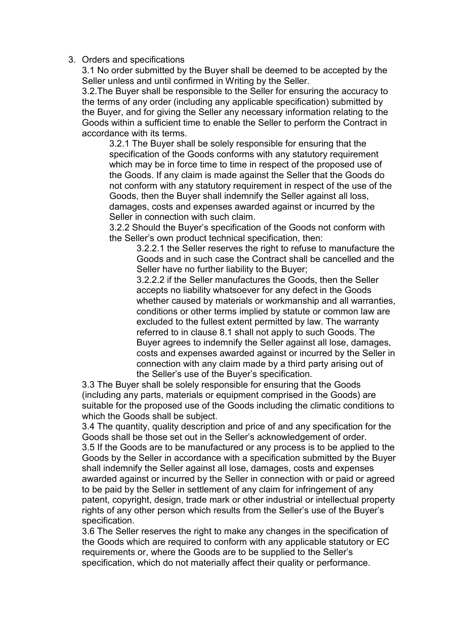### 3. Orders and specifications

3.1 No order submitted by the Buyer shall be deemed to be accepted by the Seller unless and until confirmed in Writing by the Seller.

3.2.The Buyer shall be responsible to the Seller for ensuring the accuracy to the terms of any order (including any applicable specification) submitted by the Buyer, and for giving the Seller any necessary information relating to the Goods within a sufficient time to enable the Seller to perform the Contract in accordance with its terms.

3.2.1 The Buyer shall be solely responsible for ensuring that the specification of the Goods conforms with any statutory requirement which may be in force time to time in respect of the proposed use of the Goods. If any claim is made against the Seller that the Goods do not conform with any statutory requirement in respect of the use of the Goods, then the Buyer shall indemnify the Seller against all loss, damages, costs and expenses awarded against or incurred by the Seller in connection with such claim.

3.2.2 Should the Buyer's specification of the Goods not conform with the Seller's own product technical specification, then:

3.2.2.1 the Seller reserves the right to refuse to manufacture the Goods and in such case the Contract shall be cancelled and the Seller have no further liability to the Buyer;

3.2.2.2 if the Seller manufactures the Goods, then the Seller accepts no liability whatsoever for any defect in the Goods whether caused by materials or workmanship and all warranties, conditions or other terms implied by statute or common law are excluded to the fullest extent permitted by law. The warranty referred to in clause 8.1 shall not apply to such Goods. The Buyer agrees to indemnify the Seller against all lose, damages, costs and expenses awarded against or incurred by the Seller in connection with any claim made by a third party arising out of the Seller's use of the Buyer's specification.

3.3 The Buyer shall be solely responsible for ensuring that the Goods (including any parts, materials or equipment comprised in the Goods) are suitable for the proposed use of the Goods including the climatic conditions to which the Goods shall be subject.

3.4 The quantity, quality description and price of and any specification for the Goods shall be those set out in the Seller's acknowledgement of order. 3.5 If the Goods are to be manufactured or any process is to be applied to the Goods by the Seller in accordance with a specification submitted by the Buyer shall indemnify the Seller against all lose, damages, costs and expenses awarded against or incurred by the Seller in connection with or paid or agreed to be paid by the Seller in settlement of any claim for infringement of any patent, copyright, design, trade mark or other industrial or intellectual property rights of any other person which results from the Seller's use of the Buyer's specification.

3.6 The Seller reserves the right to make any changes in the specification of the Goods which are required to conform with any applicable statutory or EC requirements or, where the Goods are to be supplied to the Seller's specification, which do not materially affect their quality or performance.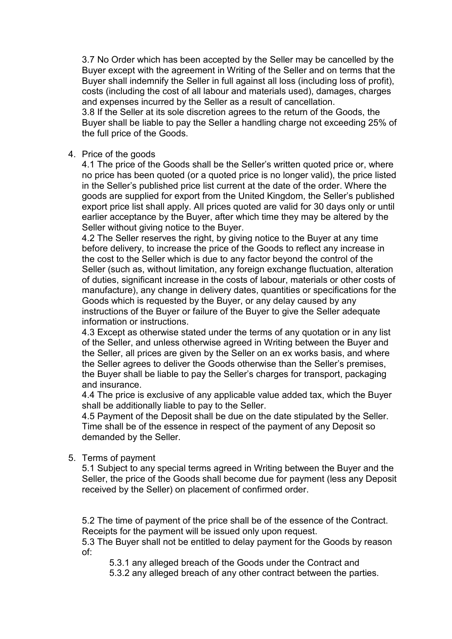3.7 No Order which has been accepted by the Seller may be cancelled by the Buyer except with the agreement in Writing of the Seller and on terms that the Buyer shall indemnify the Seller in full against all loss (including loss of profit), costs (including the cost of all labour and materials used), damages, charges and expenses incurred by the Seller as a result of cancellation.

3.8 If the Seller at its sole discretion agrees to the return of the Goods, the Buyer shall be liable to pay the Seller a handling charge not exceeding 25% of the full price of the Goods.

### 4. Price of the goods

4.1 The price of the Goods shall be the Seller's written quoted price or, where no price has been quoted (or a quoted price is no longer valid), the price listed in the Seller's published price list current at the date of the order. Where the goods are supplied for export from the United Kingdom, the Seller's published export price list shall apply. All prices quoted are valid for 30 days only or until earlier acceptance by the Buyer, after which time they may be altered by the Seller without giving notice to the Buyer.

4.2 The Seller reserves the right, by giving notice to the Buyer at any time before delivery, to increase the price of the Goods to reflect any increase in the cost to the Seller which is due to any factor beyond the control of the Seller (such as, without limitation, any foreign exchange fluctuation, alteration of duties, significant increase in the costs of labour, materials or other costs of manufacture), any change in delivery dates, quantities or specifications for the Goods which is requested by the Buyer, or any delay caused by any instructions of the Buyer or failure of the Buyer to give the Seller adequate information or instructions.

4.3 Except as otherwise stated under the terms of any quotation or in any list of the Seller, and unless otherwise agreed in Writing between the Buyer and the Seller, all prices are given by the Seller on an ex works basis, and where the Seller agrees to deliver the Goods otherwise than the Seller's premises, the Buyer shall be liable to pay the Seller's charges for transport, packaging and insurance.

4.4 The price is exclusive of any applicable value added tax, which the Buyer shall be additionally liable to pay to the Seller.

4.5 Payment of the Deposit shall be due on the date stipulated by the Seller. Time shall be of the essence in respect of the payment of any Deposit so demanded by the Seller.

## 5. Terms of payment

5.1 Subject to any special terms agreed in Writing between the Buyer and the Seller, the price of the Goods shall become due for payment (less any Deposit received by the Seller) on placement of confirmed order.

5.2 The time of payment of the price shall be of the essence of the Contract. Receipts for the payment will be issued only upon request.

5.3 The Buyer shall not be entitled to delay payment for the Goods by reason of:

5.3.1 any alleged breach of the Goods under the Contract and

5.3.2 any alleged breach of any other contract between the parties.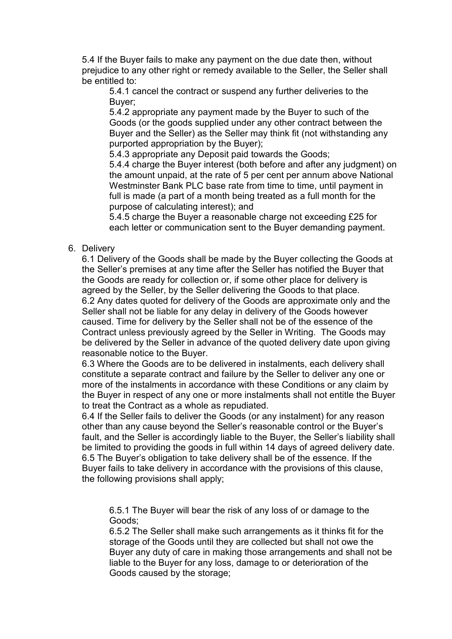5.4 If the Buyer fails to make any payment on the due date then, without prejudice to any other right or remedy available to the Seller, the Seller shall be entitled to:

5.4.1 cancel the contract or suspend any further deliveries to the Buyer;

5.4.2 appropriate any payment made by the Buyer to such of the Goods (or the goods supplied under any other contract between the Buyer and the Seller) as the Seller may think fit (not withstanding any purported appropriation by the Buyer);

5.4.3 appropriate any Deposit paid towards the Goods;

5.4.4 charge the Buyer interest (both before and after any judgment) on the amount unpaid, at the rate of 5 per cent per annum above National Westminster Bank PLC base rate from time to time, until payment in full is made (a part of a month being treated as a full month for the purpose of calculating interest); and

5.4.5 charge the Buyer a reasonable charge not exceeding £25 for each letter or communication sent to the Buyer demanding payment.

## 6. Delivery

6.1 Delivery of the Goods shall be made by the Buyer collecting the Goods at the Seller's premises at any time after the Seller has notified the Buyer that the Goods are ready for collection or, if some other place for delivery is agreed by the Seller, by the Seller delivering the Goods to that place. 6.2 Any dates quoted for delivery of the Goods are approximate only and the Seller shall not be liable for any delay in delivery of the Goods however caused. Time for delivery by the Seller shall not be of the essence of the Contract unless previously agreed by the Seller in Writing. The Goods may be delivered by the Seller in advance of the quoted delivery date upon giving reasonable notice to the Buyer.

6.3 Where the Goods are to be delivered in instalments, each delivery shall constitute a separate contract and failure by the Seller to deliver any one or more of the instalments in accordance with these Conditions or any claim by the Buyer in respect of any one or more instalments shall not entitle the Buyer to treat the Contract as a whole as repudiated.

6.4 If the Seller fails to deliver the Goods (or any instalment) for any reason other than any cause beyond the Seller's reasonable control or the Buyer's fault, and the Seller is accordingly liable to the Buyer, the Seller's liability shall be limited to providing the goods in full within 14 days of agreed delivery date. 6.5 The Buyer's obligation to take delivery shall be of the essence. If the Buyer fails to take delivery in accordance with the provisions of this clause, the following provisions shall apply;

6.5.1 The Buyer will bear the risk of any loss of or damage to the Goods;

6.5.2 The Seller shall make such arrangements as it thinks fit for the storage of the Goods until they are collected but shall not owe the Buyer any duty of care in making those arrangements and shall not be liable to the Buyer for any loss, damage to or deterioration of the Goods caused by the storage;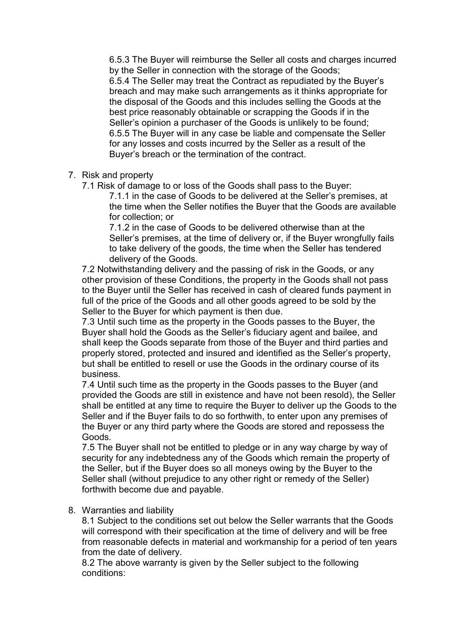6.5.3 The Buyer will reimburse the Seller all costs and charges incurred by the Seller in connection with the storage of the Goods; 6.5.4 The Seller may treat the Contract as repudiated by the Buyer's breach and may make such arrangements as it thinks appropriate for the disposal of the Goods and this includes selling the Goods at the best price reasonably obtainable or scrapping the Goods if in the Seller's opinion a purchaser of the Goods is unlikely to be found; 6.5.5 The Buyer will in any case be liable and compensate the Seller for any losses and costs incurred by the Seller as a result of the Buyer's breach or the termination of the contract.

- 7. Risk and property
	- 7.1 Risk of damage to or loss of the Goods shall pass to the Buyer:

7.1.1 in the case of Goods to be delivered at the Seller's premises, at the time when the Seller notifies the Buyer that the Goods are available for collection; or

7.1.2 in the case of Goods to be delivered otherwise than at the Seller's premises, at the time of delivery or, if the Buyer wrongfully fails to take delivery of the goods, the time when the Seller has tendered delivery of the Goods.

7.2 Notwithstanding delivery and the passing of risk in the Goods, or any other provision of these Conditions, the property in the Goods shall not pass to the Buyer until the Seller has received in cash of cleared funds payment in full of the price of the Goods and all other goods agreed to be sold by the Seller to the Buyer for which payment is then due.

7.3 Until such time as the property in the Goods passes to the Buyer, the Buyer shall hold the Goods as the Seller's fiduciary agent and bailee, and shall keep the Goods separate from those of the Buyer and third parties and properly stored, protected and insured and identified as the Seller's property, but shall be entitled to resell or use the Goods in the ordinary course of its business.

7.4 Until such time as the property in the Goods passes to the Buyer (and provided the Goods are still in existence and have not been resold), the Seller shall be entitled at any time to require the Buyer to deliver up the Goods to the Seller and if the Buyer fails to do so forthwith, to enter upon any premises of the Buyer or any third party where the Goods are stored and repossess the Goods.

7.5 The Buyer shall not be entitled to pledge or in any way charge by way of security for any indebtedness any of the Goods which remain the property of the Seller, but if the Buyer does so all moneys owing by the Buyer to the Seller shall (without prejudice to any other right or remedy of the Seller) forthwith become due and payable.

8. Warranties and liability

8.1 Subject to the conditions set out below the Seller warrants that the Goods will correspond with their specification at the time of delivery and will be free from reasonable defects in material and workmanship for a period of ten years from the date of delivery.

8.2 The above warranty is given by the Seller subject to the following conditions: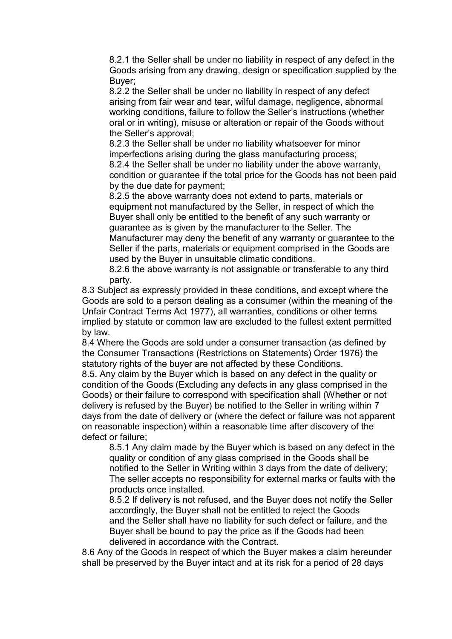8.2.1 the Seller shall be under no liability in respect of any defect in the Goods arising from any drawing, design or specification supplied by the Buyer;

8.2.2 the Seller shall be under no liability in respect of any defect arising from fair wear and tear, wilful damage, negligence, abnormal working conditions, failure to follow the Seller's instructions (whether oral or in writing), misuse or alteration or repair of the Goods without the Seller's approval;

8.2.3 the Seller shall be under no liability whatsoever for minor imperfections arising during the glass manufacturing process;

8.2.4 the Seller shall be under no liability under the above warranty, condition or guarantee if the total price for the Goods has not been paid by the due date for payment;

8.2.5 the above warranty does not extend to parts, materials or equipment not manufactured by the Seller, in respect of which the Buyer shall only be entitled to the benefit of any such warranty or guarantee as is given by the manufacturer to the Seller. The Manufacturer may deny the benefit of any warranty or guarantee to the Seller if the parts, materials or equipment comprised in the Goods are used by the Buyer in unsuitable climatic conditions.

8.2.6 the above warranty is not assignable or transferable to any third party.

8.3 Subject as expressly provided in these conditions, and except where the Goods are sold to a person dealing as a consumer (within the meaning of the Unfair Contract Terms Act 1977), all warranties, conditions or other terms implied by statute or common law are excluded to the fullest extent permitted by law.

8.4 Where the Goods are sold under a consumer transaction (as defined by the Consumer Transactions (Restrictions on Statements) Order 1976) the statutory rights of the buyer are not affected by these Conditions.

8.5. Any claim by the Buyer which is based on any defect in the quality or condition of the Goods (Excluding any defects in any glass comprised in the Goods) or their failure to correspond with specification shall (Whether or not delivery is refused by the Buyer) be notified to the Seller in writing within 7 days from the date of delivery or (where the defect or failure was not apparent on reasonable inspection) within a reasonable time after discovery of the defect or failure;

8.5.1 Any claim made by the Buyer which is based on any defect in the quality or condition of any glass comprised in the Goods shall be notified to the Seller in Writing within 3 days from the date of delivery; The seller accepts no responsibility for external marks or faults with the products once installed.

8.5.2 If delivery is not refused, and the Buyer does not notify the Seller accordingly, the Buyer shall not be entitled to reject the Goods and the Seller shall have no liability for such defect or failure, and the Buyer shall be bound to pay the price as if the Goods had been delivered in accordance with the Contract.

8.6 Any of the Goods in respect of which the Buyer makes a claim hereunder shall be preserved by the Buyer intact and at its risk for a period of 28 days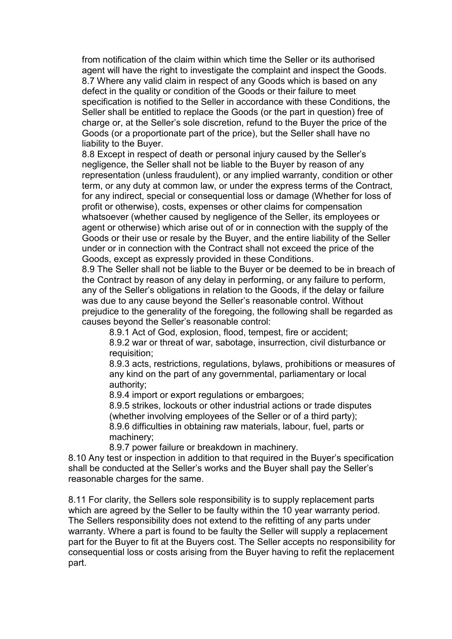from notification of the claim within which time the Seller or its authorised agent will have the right to investigate the complaint and inspect the Goods. 8.7 Where any valid claim in respect of any Goods which is based on any defect in the quality or condition of the Goods or their failure to meet specification is notified to the Seller in accordance with these Conditions, the Seller shall be entitled to replace the Goods (or the part in question) free of charge or, at the Seller's sole discretion, refund to the Buyer the price of the Goods (or a proportionate part of the price), but the Seller shall have no liability to the Buyer.

8.8 Except in respect of death or personal injury caused by the Seller's negligence, the Seller shall not be liable to the Buyer by reason of any representation (unless fraudulent), or any implied warranty, condition or other term, or any duty at common law, or under the express terms of the Contract, for any indirect, special or consequential loss or damage (Whether for loss of profit or otherwise), costs, expenses or other claims for compensation whatsoever (whether caused by negligence of the Seller, its employees or agent or otherwise) which arise out of or in connection with the supply of the Goods or their use or resale by the Buyer, and the entire liability of the Seller under or in connection with the Contract shall not exceed the price of the Goods, except as expressly provided in these Conditions.

8.9 The Seller shall not be liable to the Buyer or be deemed to be in breach of the Contract by reason of any delay in performing, or any failure to perform, any of the Seller's obligations in relation to the Goods, if the delay or failure was due to any cause beyond the Seller's reasonable control. Without prejudice to the generality of the foregoing, the following shall be regarded as causes beyond the Seller's reasonable control:

8.9.1 Act of God, explosion, flood, tempest, fire or accident;

8.9.2 war or threat of war, sabotage, insurrection, civil disturbance or requisition;

8.9.3 acts, restrictions, regulations, bylaws, prohibitions or measures of any kind on the part of any governmental, parliamentary or local authority;

8.9.4 import or export regulations or embargoes;

8.9.5 strikes, lockouts or other industrial actions or trade disputes (whether involving employees of the Seller or of a third party); 8.9.6 difficulties in obtaining raw materials, labour, fuel, parts or machinery;

8.9.7 power failure or breakdown in machinery.

8.10 Any test or inspection in addition to that required in the Buyer's specification shall be conducted at the Seller's works and the Buyer shall pay the Seller's reasonable charges for the same.

8.11 For clarity, the Sellers sole responsibility is to supply replacement parts which are agreed by the Seller to be faulty within the 10 year warranty period. The Sellers responsibility does not extend to the refitting of any parts under warranty. Where a part is found to be faulty the Seller will supply a replacement part for the Buyer to fit at the Buyers cost. The Seller accepts no responsibility for consequential loss or costs arising from the Buyer having to refit the replacement part.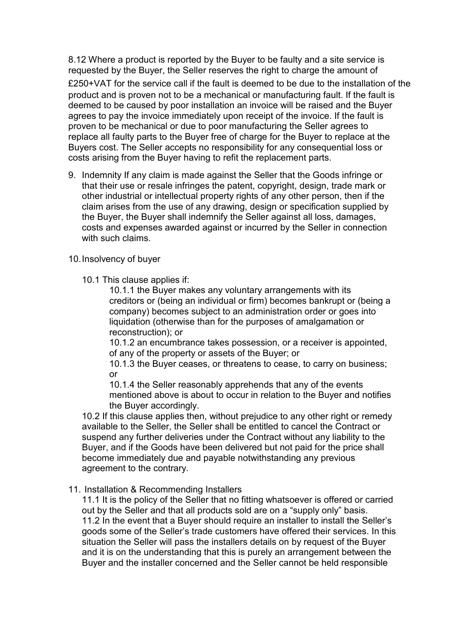8.12 Where a product is reported by the Buyer to be faulty and a site service is requested by the Buyer, the Seller reserves the right to charge the amount of £250+VAT for the service call if the fault is deemed to be due to the installation of the product and is proven not to be a mechanical or manufacturing fault. If the fault is deemed to be caused by poor installation an invoice will be raised and the Buyer agrees to pay the invoice immediately upon receipt of the invoice. If the fault is proven to be mechanical or due to poor manufacturing the Seller agrees to replace all faulty parts to the Buyer free of charge for the Buyer to replace at the Buyers cost. The Seller accepts no responsibility for any consequential loss or costs arising from the Buyer having to refit the replacement parts.

- 9. Indemnity If any claim is made against the Seller that the Goods infringe or that their use or resale infringes the patent, copyright, design, trade mark or other industrial or intellectual property rights of any other person, then if the claim arises from the use of any drawing, design or specification supplied by the Buyer, the Buyer shall indemnify the Seller against all loss, damages, costs and expenses awarded against or incurred by the Seller in connection with such claims
- 10. Insolvency of buyer
	- 10.1 This clause applies if:

10.1.1 the Buyer makes any voluntary arrangements with its creditors or (being an individual or firm) becomes bankrupt or (being a company) becomes subject to an administration order or goes into liquidation (otherwise than for the purposes of amalgamation or reconstruction); or

10.1.2 an encumbrance takes possession, or a receiver is appointed, of any of the property or assets of the Buyer; or

10.1.3 the Buyer ceases, or threatens to cease, to carry on business; or

10.1.4 the Seller reasonably apprehends that any of the events mentioned above is about to occur in relation to the Buyer and notifies the Buyer accordingly.

10.2 If this clause applies then, without prejudice to any other right or remedy available to the Seller, the Seller shall be entitled to cancel the Contract or suspend any further deliveries under the Contract without any liability to the Buyer, and if the Goods have been delivered but not paid for the price shall become immediately due and payable notwithstanding any previous agreement to the contrary.

11. Installation & Recommending Installers

11.1 It is the policy of the Seller that no fitting whatsoever is offered or carried out by the Seller and that all products sold are on a "supply only" basis. 11.2 In the event that a Buyer should require an installer to install the Seller's goods some of the Seller's trade customers have offered their services. In this situation the Seller will pass the installers details on by request of the Buyer and it is on the understanding that this is purely an arrangement between the Buyer and the installer concerned and the Seller cannot be held responsible